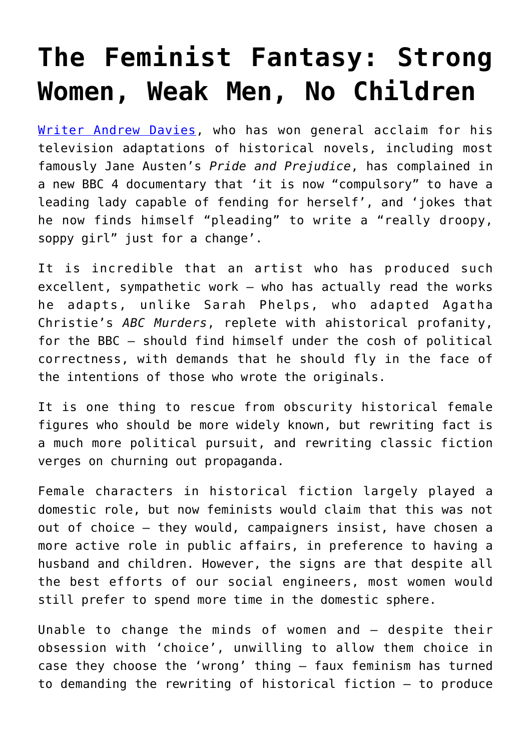## **[The Feminist Fantasy: Strong](https://intellectualtakeout.org/2019/01/the-feminist-fantasy-strong-women-weak-men-no-children/) [Women, Weak Men, No Children](https://intellectualtakeout.org/2019/01/the-feminist-fantasy-strong-women-weak-men-no-children/)**

[Writer Andrew Davies](https://www.pressreader.com/uk/the-daily-telegraph/20181227/281625306420566), who has won general acclaim for his television adaptations of historical novels, including most famously Jane Austen's *Pride and Prejudice*, has complained in a new BBC 4 documentary that 'it is now "compulsory" to have a leading lady capable of fending for herself', and 'jokes that he now finds himself "pleading" to write a "really droopy, soppy girl" just for a change'.

It is incredible that an artist who has produced such excellent, sympathetic work – who has actually read the works he adapts, unlike Sarah Phelps, who adapted Agatha Christie's *ABC Murders*, replete with ahistorical profanity, for the BBC – should find himself under the cosh of political correctness, with demands that he should fly in the face of the intentions of those who wrote the originals.

It is one thing to rescue from obscurity historical female figures who should be more widely known, but rewriting fact is a much more political pursuit, and rewriting classic fiction verges on churning out propaganda.

Female characters in historical fiction largely played a domestic role, but now feminists would claim that this was not out of choice – they would, campaigners insist, have chosen a more active role in public affairs, in preference to having a husband and children. However, the signs are that despite all the best efforts of our social engineers, most women would still prefer to spend more time in the domestic sphere.

Unable to change the minds of women and – despite their obsession with 'choice', unwilling to allow them choice in case they choose the 'wrong' thing – faux feminism has turned to demanding the rewriting of historical fiction – to produce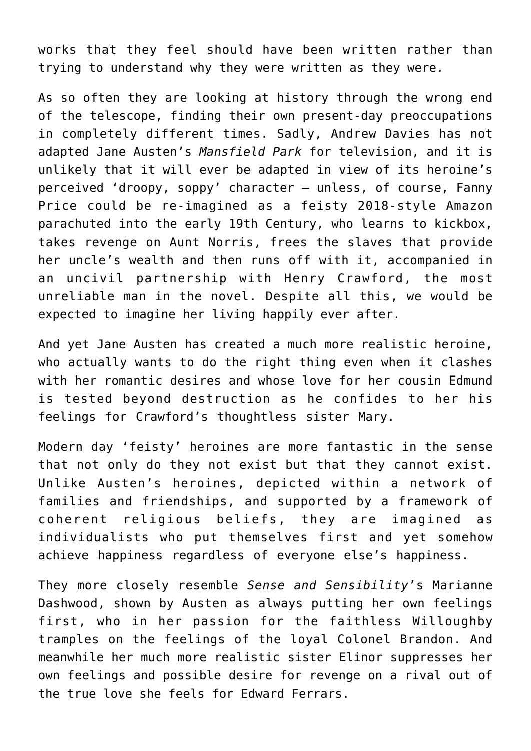works that they feel should have been written rather than trying to understand why they were written as they were.

As so often they are looking at history through the wrong end of the telescope, finding their own present-day preoccupations in completely different times. Sadly, Andrew Davies has not adapted Jane Austen's *Mansfield Park* for television, and it is unlikely that it will ever be adapted in view of its heroine's perceived 'droopy, soppy' character – unless, of course, Fanny Price could be re-imagined as a feisty 2018-style Amazon parachuted into the early 19th Century, who learns to kickbox, takes revenge on Aunt Norris, frees the slaves that provide her uncle's wealth and then runs off with it, accompanied in an uncivil partnership with Henry Crawford, the most unreliable man in the novel. Despite all this, we would be expected to imagine her living happily ever after.

And yet Jane Austen has created a much more realistic heroine, who actually wants to do the right thing even when it clashes with her romantic desires and whose love for her cousin Edmund is tested beyond destruction as he confides to her his feelings for Crawford's thoughtless sister Mary.

Modern day 'feisty' heroines are more fantastic in the sense that not only do they not exist but that they cannot exist. Unlike Austen's heroines, depicted within a network of families and friendships, and supported by a framework of coherent religious beliefs, they are imagined as individualists who put themselves first and yet somehow achieve happiness regardless of everyone else's happiness.

They more closely resemble *Sense and Sensibility*'s Marianne Dashwood, shown by Austen as always putting her own feelings first, who in her passion for the faithless Willoughby tramples on the feelings of the loyal Colonel Brandon. And meanwhile her much more realistic sister Elinor suppresses her own feelings and possible desire for revenge on a rival out of the true love she feels for Edward Ferrars.